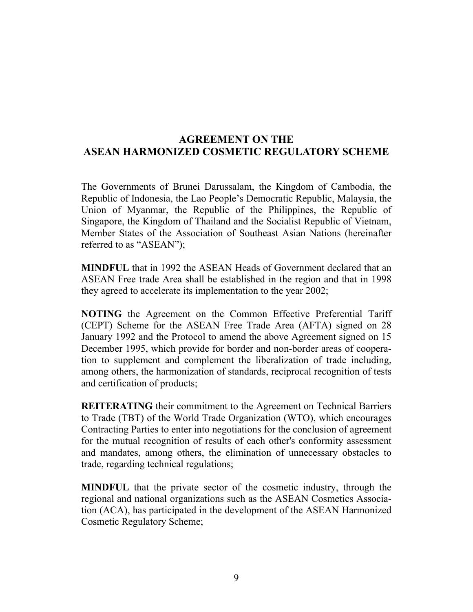## **AGREEMENT ON THE ASEAN HARMONIZED COSMETIC REGULATORY SCHEME**

The Governments of Brunei Darussalam, the Kingdom of Cambodia, the Republic of Indonesia, the Lao People's Democratic Republic, Malaysia, the Union of Myanmar, the Republic of the Philippines, the Republic of Singapore, the Kingdom of Thailand and the Socialist Republic of Vietnam, Member States of the Association of Southeast Asian Nations (hereinafter referred to as "ASEAN");

**MINDFUL** that in 1992 the ASEAN Heads of Government declared that an ASEAN Free trade Area shall be established in the region and that in 1998 they agreed to accelerate its implementation to the year 2002;

**NOTING** the Agreement on the Common Effective Preferential Tariff (CEPT) Scheme for the ASEAN Free Trade Area (AFTA) signed on 28 January 1992 and the Protocol to amend the above Agreement signed on 15 December 1995, which provide for border and non-border areas of cooperation to supplement and complement the liberalization of trade including, among others, the harmonization of standards, reciprocal recognition of tests and certification of products;

**REITERATING** their commitment to the Agreement on Technical Barriers to Trade (TBT) of the World Trade Organization (WTO), which encourages Contracting Parties to enter into negotiations for the conclusion of agreement for the mutual recognition of results of each other's conformity assessment and mandates, among others, the elimination of unnecessary obstacles to trade, regarding technical regulations;

**MINDFUL** that the private sector of the cosmetic industry, through the regional and national organizations such as the ASEAN Cosmetics Association (ACA), has participated in the development of the ASEAN Harmonized Cosmetic Regulatory Scheme;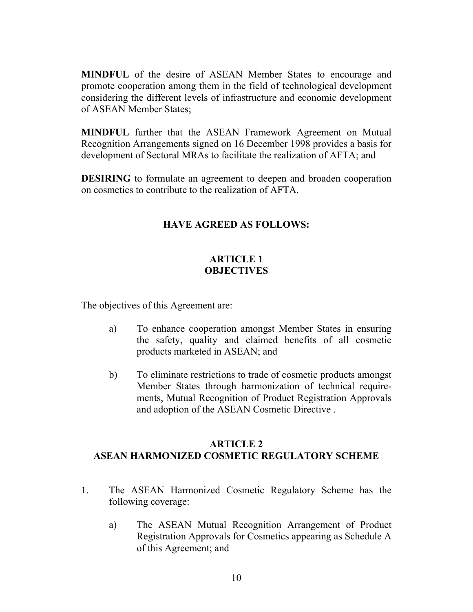**MINDFUL** of the desire of ASEAN Member States to encourage and promote cooperation among them in the field of technological development considering the different levels of infrastructure and economic development of ASEAN Member States;

**MINDFUL** further that the ASEAN Framework Agreement on Mutual Recognition Arrangements signed on 16 December 1998 provides a basis for development of Sectoral MRAs to facilitate the realization of AFTA; and

**DESIRING** to formulate an agreement to deepen and broaden cooperation on cosmetics to contribute to the realization of AFTA.

## **HAVE AGREED AS FOLLOWS:**

## **ARTICLE 1 OBJECTIVES**

The objectives of this Agreement are:

- a) To enhance cooperation amongst Member States in ensuring the safety, quality and claimed benefits of all cosmetic products marketed in ASEAN; and
- b) To eliminate restrictions to trade of cosmetic products amongst Member States through harmonization of technical requirements, Mutual Recognition of Product Registration Approvals and adoption of the ASEAN Cosmetic Directive .

### **ARTICLE 2 ASEAN HARMONIZED COSMETIC REGULATORY SCHEME**

- 1. The ASEAN Harmonized Cosmetic Regulatory Scheme has the following coverage:
	- a) The ASEAN Mutual Recognition Arrangement of Product Registration Approvals for Cosmetics appearing as Schedule A of this Agreement; and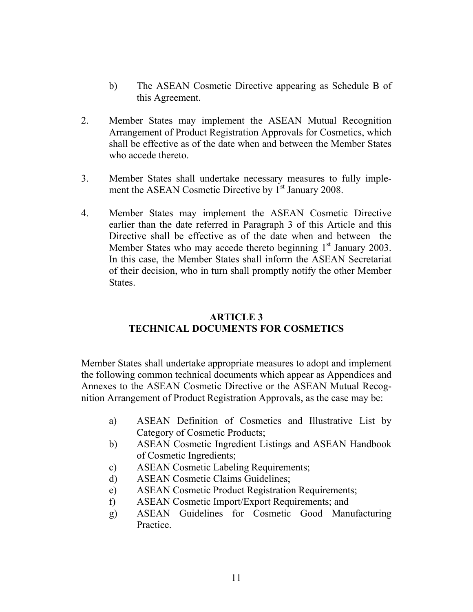- b) The ASEAN Cosmetic Directive appearing as Schedule B of this Agreement.
- 2. Member States may implement the ASEAN Mutual Recognition Arrangement of Product Registration Approvals for Cosmetics, which shall be effective as of the date when and between the Member States who accede thereto.
- 3. Member States shall undertake necessary measures to fully implement the ASEAN Cosmetic Directive by 1<sup>st</sup> January 2008.
- 4. Member States may implement the ASEAN Cosmetic Directive earlier than the date referred in Paragraph 3 of this Article and this Directive shall be effective as of the date when and between the Member States who may accede thereto beginning  $1<sup>st</sup>$  January 2003. In this case, the Member States shall inform the ASEAN Secretariat of their decision, who in turn shall promptly notify the other Member States.

### **ARTICLE 3 TECHNICAL DOCUMENTS FOR COSMETICS**

Member States shall undertake appropriate measures to adopt and implement the following common technical documents which appear as Appendices and Annexes to the ASEAN Cosmetic Directive or the ASEAN Mutual Recognition Arrangement of Product Registration Approvals, as the case may be:

- a) ASEAN Definition of Cosmetics and Illustrative List by Category of Cosmetic Products;
- b) ASEAN Cosmetic Ingredient Listings and ASEAN Handbook of Cosmetic Ingredients;
- c) ASEAN Cosmetic Labeling Requirements;
- d) ASEAN Cosmetic Claims Guidelines;
- e) ASEAN Cosmetic Product Registration Requirements;
- f) ASEAN Cosmetic Import/Export Requirements; and
- g) ASEAN Guidelines for Cosmetic Good Manufacturing **Practice**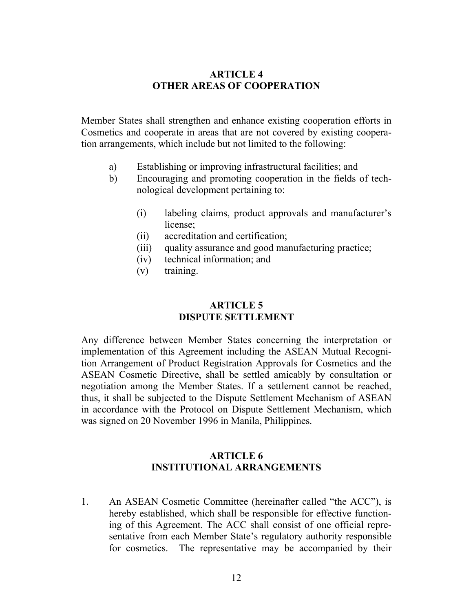#### **ARTICLE 4 OTHER AREAS OF COOPERATION**

Member States shall strengthen and enhance existing cooperation efforts in Cosmetics and cooperate in areas that are not covered by existing cooperation arrangements, which include but not limited to the following:

- a) Establishing or improving infrastructural facilities; and
- b) Encouraging and promoting cooperation in the fields of technological development pertaining to:
	- (i) labeling claims, product approvals and manufacturer's license;
	- (ii) accreditation and certification;
	- (iii) quality assurance and good manufacturing practice;
	- (iv) technical information; and
	- (v) training.

#### **ARTICLE 5 DISPUTE SETTLEMENT**

Any difference between Member States concerning the interpretation or implementation of this Agreement including the ASEAN Mutual Recognition Arrangement of Product Registration Approvals for Cosmetics and the ASEAN Cosmetic Directive, shall be settled amicably by consultation or negotiation among the Member States. If a settlement cannot be reached, thus, it shall be subjected to the Dispute Settlement Mechanism of ASEAN in accordance with the Protocol on Dispute Settlement Mechanism, which was signed on 20 November 1996 in Manila, Philippines.

### **ARTICLE 6 INSTITUTIONAL ARRANGEMENTS**

1. An ASEAN Cosmetic Committee (hereinafter called "the ACC"), is hereby established, which shall be responsible for effective functioning of this Agreement. The ACC shall consist of one official representative from each Member State's regulatory authority responsible for cosmetics. The representative may be accompanied by their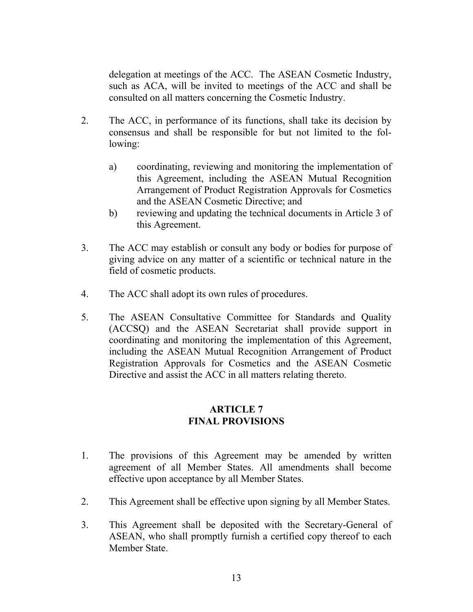delegation at meetings of the ACC. The ASEAN Cosmetic Industry, such as ACA, will be invited to meetings of the ACC and shall be consulted on all matters concerning the Cosmetic Industry.

- 2. The ACC, in performance of its functions, shall take its decision by consensus and shall be responsible for but not limited to the following:
	- a) coordinating, reviewing and monitoring the implementation of this Agreement, including the ASEAN Mutual Recognition Arrangement of Product Registration Approvals for Cosmetics and the ASEAN Cosmetic Directive; and
	- b) reviewing and updating the technical documents in Article 3 of this Agreement.
- 3. The ACC may establish or consult any body or bodies for purpose of giving advice on any matter of a scientific or technical nature in the field of cosmetic products.
- 4. The ACC shall adopt its own rules of procedures.
- 5. The ASEAN Consultative Committee for Standards and Quality (ACCSQ) and the ASEAN Secretariat shall provide support in coordinating and monitoring the implementation of this Agreement, including the ASEAN Mutual Recognition Arrangement of Product Registration Approvals for Cosmetics and the ASEAN Cosmetic Directive and assist the ACC in all matters relating thereto.

#### **ARTICLE 7 FINAL PROVISIONS**

- 1. The provisions of this Agreement may be amended by written agreement of all Member States. All amendments shall become effective upon acceptance by all Member States.
- 2. This Agreement shall be effective upon signing by all Member States.
- 3. This Agreement shall be deposited with the Secretary-General of ASEAN, who shall promptly furnish a certified copy thereof to each Member State.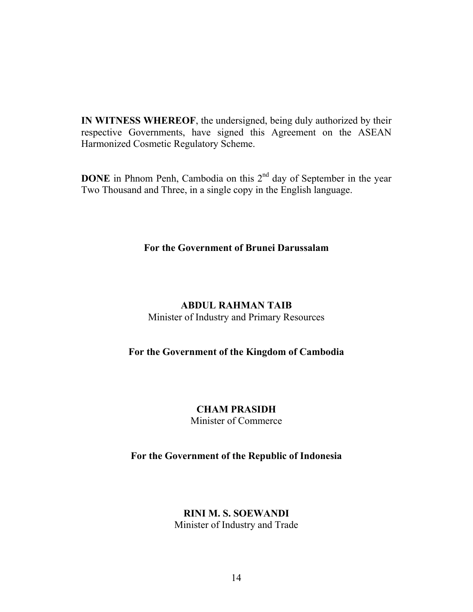**IN WITNESS WHEREOF**, the undersigned, being duly authorized by their respective Governments, have signed this Agreement on the ASEAN Harmonized Cosmetic Regulatory Scheme.

**DONE** in Phnom Penh, Cambodia on this 2<sup>nd</sup> day of September in the year Two Thousand and Three, in a single copy in the English language.

#### **For the Government of Brunei Darussalam**

### **ABDUL RAHMAN TAIB**

Minister of Industry and Primary Resources

## **For the Government of the Kingdom of Cambodia**

## **CHAM PRASIDH**

Minister of Commerce

### **For the Government of the Republic of Indonesia**

### **RINI M. S. SOEWANDI**

Minister of Industry and Trade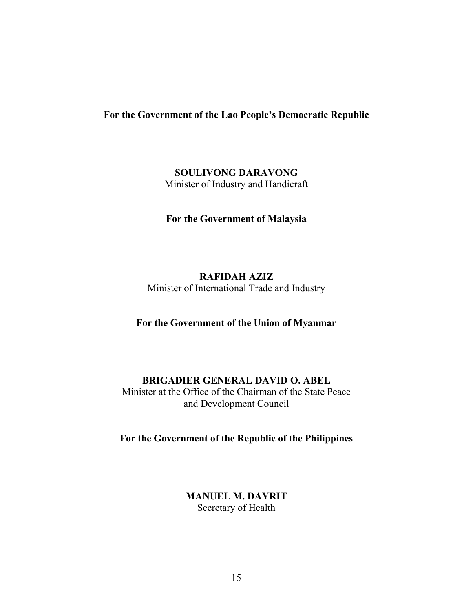#### **For the Government of the Lao People's Democratic Republic**

**SOULIVONG DARAVONG**  Minister of Industry and Handicraft

**For the Government of Malaysia** 

**RAFIDAH AZIZ**  Minister of International Trade and Industry

**For the Government of the Union of Myanmar** 

#### **BRIGADIER GENERAL DAVID O. ABEL**

Minister at the Office of the Chairman of the State Peace and Development Council

**For the Government of the Republic of the Philippines** 

**MANUEL M. DAYRIT**  Secretary of Health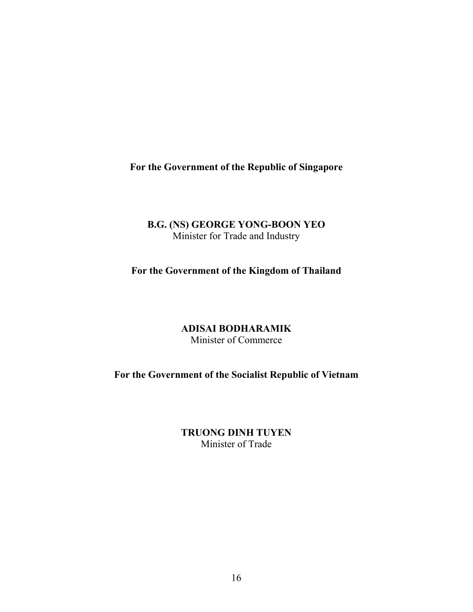**For the Government of the Republic of Singapore** 

## **B.G. (NS) GEORGE YONG-BOON YEO**  Minister for Trade and Industry

**For the Government of the Kingdom of Thailand** 

**ADISAI BODHARAMIK**  Minister of Commerce

**For the Government of the Socialist Republic of Vietnam** 

**TRUONG DINH TUYEN**  Minister of Trade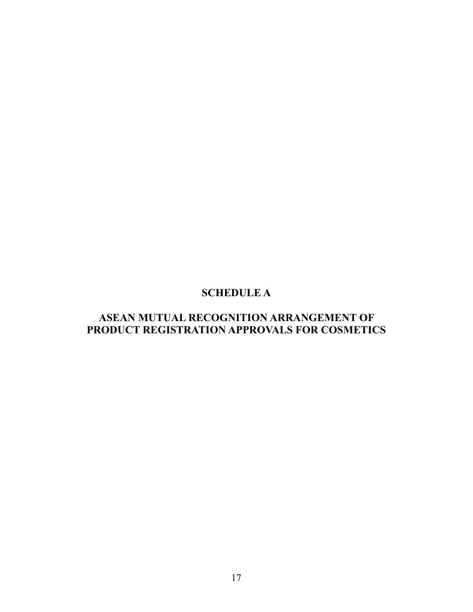# **SCHEDULE A**

# **ASEAN MUTUAL RECOGNITION ARRANGEMENT OF PRODUCT REGISTRATION APPROVALS FOR COSMETICS**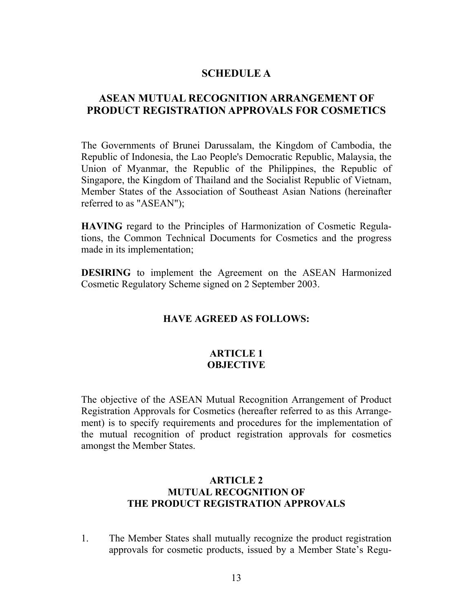### **SCHEDULE A**

## **ASEAN MUTUAL RECOGNITION ARRANGEMENT OF PRODUCT REGISTRATION APPROVALS FOR COSMETICS**

The Governments of Brunei Darussalam, the Kingdom of Cambodia, the Republic of Indonesia, the Lao People's Democratic Republic, Malaysia, the Union of Myanmar, the Republic of the Philippines, the Republic of Singapore, the Kingdom of Thailand and the Socialist Republic of Vietnam, Member States of the Association of Southeast Asian Nations (hereinafter referred to as "ASEAN");

**HAVING** regard to the Principles of Harmonization of Cosmetic Regulations, the Common Technical Documents for Cosmetics and the progress made in its implementation;

**DESIRING** to implement the Agreement on the ASEAN Harmonized Cosmetic Regulatory Scheme signed on 2 September 2003.

#### **HAVE AGREED AS FOLLOWS:**

#### **ARTICLE 1 OBJECTIVE**

The objective of the ASEAN Mutual Recognition Arrangement of Product Registration Approvals for Cosmetics (hereafter referred to as this Arrangement) is to specify requirements and procedures for the implementation of the mutual recognition of product registration approvals for cosmetics amongst the Member States.

#### **ARTICLE 2 MUTUAL RECOGNITION OF THE PRODUCT REGISTRATION APPROVALS**

1. The Member States shall mutually recognize the product registration approvals for cosmetic products, issued by a Member State's Regu-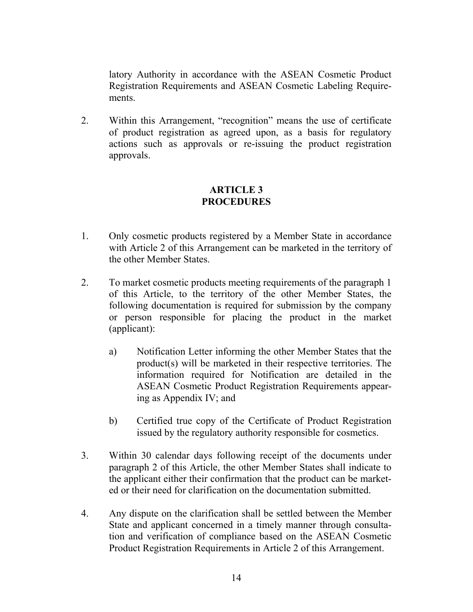latory Authority in accordance with the ASEAN Cosmetic Product Registration Requirements and ASEAN Cosmetic Labeling Requirements.

2. Within this Arrangement, "recognition" means the use of certificate of product registration as agreed upon, as a basis for regulatory actions such as approvals or re-issuing the product registration approvals.

#### **ARTICLE 3 PROCEDURES**

- 1. Only cosmetic products registered by a Member State in accordance with Article 2 of this Arrangement can be marketed in the territory of the other Member States.
- 2. To market cosmetic products meeting requirements of the paragraph 1 of this Article, to the territory of the other Member States, the following documentation is required for submission by the company or person responsible for placing the product in the market (applicant):
	- a) Notification Letter informing the other Member States that the product(s) will be marketed in their respective territories. The information required for Notification are detailed in the ASEAN Cosmetic Product Registration Requirements appearing as Appendix IV; and
	- b) Certified true copy of the Certificate of Product Registration issued by the regulatory authority responsible for cosmetics.
- 3. Within 30 calendar days following receipt of the documents under paragraph 2 of this Article, the other Member States shall indicate to the applicant either their confirmation that the product can be marketed or their need for clarification on the documentation submitted.
- 4. Any dispute on the clarification shall be settled between the Member State and applicant concerned in a timely manner through consultation and verification of compliance based on the ASEAN Cosmetic Product Registration Requirements in Article 2 of this Arrangement.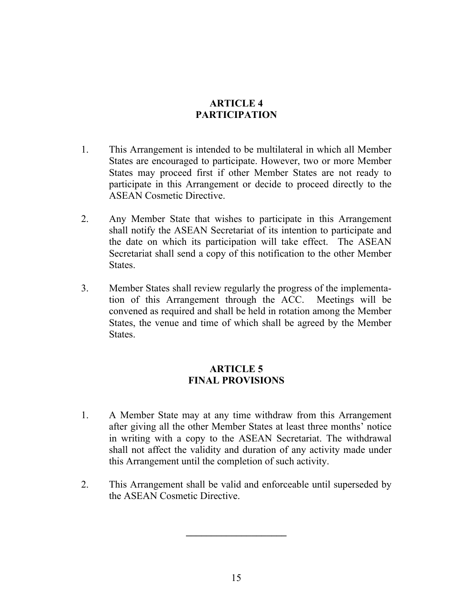## **ARTICLE 4 PARTICIPATION**

- 1. This Arrangement is intended to be multilateral in which all Member States are encouraged to participate. However, two or more Member States may proceed first if other Member States are not ready to participate in this Arrangement or decide to proceed directly to the ASEAN Cosmetic Directive.
- 2. Any Member State that wishes to participate in this Arrangement shall notify the ASEAN Secretariat of its intention to participate and the date on which its participation will take effect. The ASEAN Secretariat shall send a copy of this notification to the other Member States.
- 3. Member States shall review regularly the progress of the implementation of this Arrangement through the ACC. Meetings will be convened as required and shall be held in rotation among the Member States, the venue and time of which shall be agreed by the Member States.

## **ARTICLE 5 FINAL PROVISIONS**

- 1. A Member State may at any time withdraw from this Arrangement after giving all the other Member States at least three months' notice in writing with a copy to the ASEAN Secretariat. The withdrawal shall not affect the validity and duration of any activity made under this Arrangement until the completion of such activity.
- 2. This Arrangement shall be valid and enforceable until superseded by the ASEAN Cosmetic Directive.

**\_\_\_\_\_\_\_\_\_\_\_\_\_\_\_\_\_\_\_\_**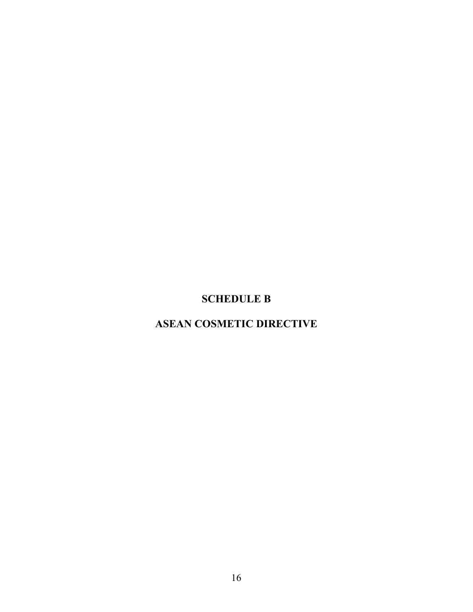# **SCHEDULE B**

# **ASEAN COSMETIC DIRECTIVE**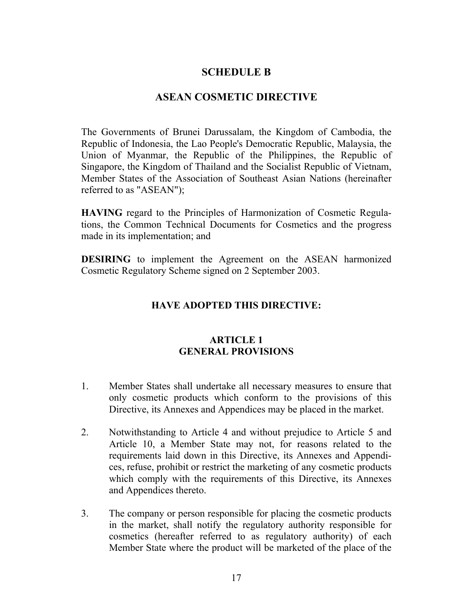### **SCHEDULE B**

### **ASEAN COSMETIC DIRECTIVE**

The Governments of Brunei Darussalam, the Kingdom of Cambodia, the Republic of Indonesia, the Lao People's Democratic Republic, Malaysia, the Union of Myanmar, the Republic of the Philippines, the Republic of Singapore, the Kingdom of Thailand and the Socialist Republic of Vietnam, Member States of the Association of Southeast Asian Nations (hereinafter referred to as "ASEAN");

**HAVING** regard to the Principles of Harmonization of Cosmetic Regulations, the Common Technical Documents for Cosmetics and the progress made in its implementation; and

**DESIRING** to implement the Agreement on the ASEAN harmonized Cosmetic Regulatory Scheme signed on 2 September 2003.

## **HAVE ADOPTED THIS DIRECTIVE:**

#### **ARTICLE 1 GENERAL PROVISIONS**

- 1. Member States shall undertake all necessary measures to ensure that only cosmetic products which conform to the provisions of this Directive, its Annexes and Appendices may be placed in the market.
- 2. Notwithstanding to Article 4 and without prejudice to Article 5 and Article 10, a Member State may not, for reasons related to the requirements laid down in this Directive, its Annexes and Appendices, refuse, prohibit or restrict the marketing of any cosmetic products which comply with the requirements of this Directive, its Annexes and Appendices thereto.
- 3. The company or person responsible for placing the cosmetic products in the market, shall notify the regulatory authority responsible for cosmetics (hereafter referred to as regulatory authority) of each Member State where the product will be marketed of the place of the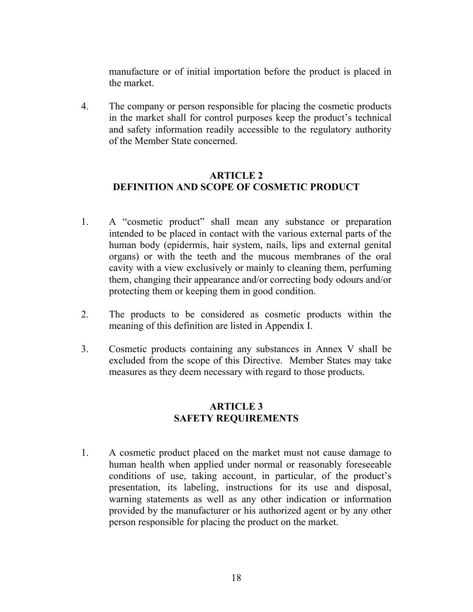manufacture or of initial importation before the product is placed in the market.

4. The company or person responsible for placing the cosmetic products in the market shall for control purposes keep the product's technical and safety information readily accessible to the regulatory authority of the Member State concerned.

#### **ARTICLE 2 DEFINITION AND SCOPE OF COSMETIC PRODUCT**

- 1. A "cosmetic product" shall mean any substance or preparation intended to be placed in contact with the various external parts of the human body (epidermis, hair system, nails, lips and external genital organs) or with the teeth and the mucous membranes of the oral cavity with a view exclusively or mainly to cleaning them, perfuming them, changing their appearance and/or correcting body odours and/or protecting them or keeping them in good condition.
- 2. The products to be considered as cosmetic products within the meaning of this definition are listed in Appendix I.
- 3. Cosmetic products containing any substances in Annex V shall be excluded from the scope of this Directive. Member States may take measures as they deem necessary with regard to those products.

## **ARTICLE 3 SAFETY REQUIREMENTS**

1. A cosmetic product placed on the market must not cause damage to human health when applied under normal or reasonably foreseeable conditions of use, taking account, in particular, of the product's presentation, its labeling, instructions for its use and disposal, warning statements as well as any other indication or information provided by the manufacturer or his authorized agent or by any other person responsible for placing the product on the market.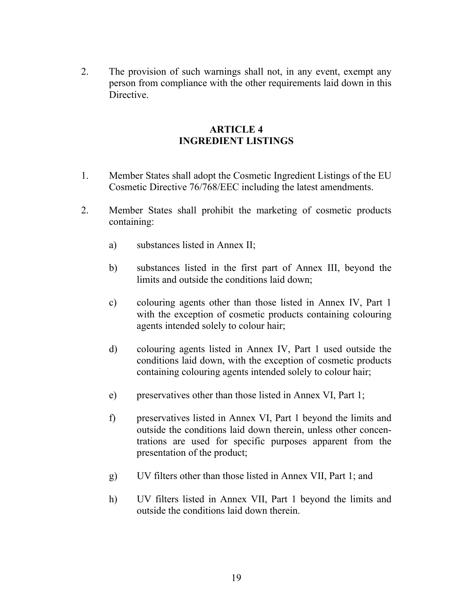2. The provision of such warnings shall not, in any event, exempt any person from compliance with the other requirements laid down in this Directive.

#### **ARTICLE 4 INGREDIENT LISTINGS**

- 1. Member States shall adopt the Cosmetic Ingredient Listings of the EU Cosmetic Directive 76/768/EEC including the latest amendments.
- 2. Member States shall prohibit the marketing of cosmetic products containing:
	- a) substances listed in Annex II;
	- b) substances listed in the first part of Annex III, beyond the limits and outside the conditions laid down;
	- c) colouring agents other than those listed in Annex IV, Part 1 with the exception of cosmetic products containing colouring agents intended solely to colour hair;
	- d) colouring agents listed in Annex IV, Part 1 used outside the conditions laid down, with the exception of cosmetic products containing colouring agents intended solely to colour hair;
	- e) preservatives other than those listed in Annex VI, Part 1;
	- f) preservatives listed in Annex VI, Part 1 beyond the limits and outside the conditions laid down therein, unless other concentrations are used for specific purposes apparent from the presentation of the product;
	- g) UV filters other than those listed in Annex VII, Part 1; and
	- h) UV filters listed in Annex VII, Part 1 beyond the limits and outside the conditions laid down therein.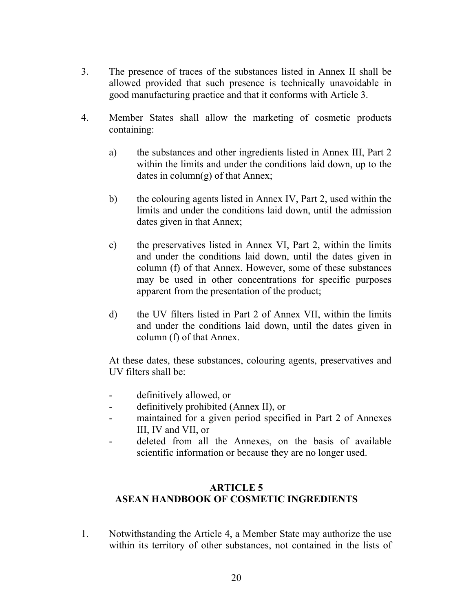- 3. The presence of traces of the substances listed in Annex II shall be allowed provided that such presence is technically unavoidable in good manufacturing practice and that it conforms with Article 3.
- 4. Member States shall allow the marketing of cosmetic products containing:
	- a) the substances and other ingredients listed in Annex III, Part 2 within the limits and under the conditions laid down, up to the dates in column(g) of that Annex;
	- b) the colouring agents listed in Annex IV, Part 2, used within the limits and under the conditions laid down, until the admission dates given in that Annex;
	- c) the preservatives listed in Annex VI, Part 2, within the limits and under the conditions laid down, until the dates given in column (f) of that Annex. However, some of these substances may be used in other concentrations for specific purposes apparent from the presentation of the product;
	- d) the UV filters listed in Part 2 of Annex VII, within the limits and under the conditions laid down, until the dates given in column (f) of that Annex.

At these dates, these substances, colouring agents, preservatives and UV filters shall be:

- definitively allowed, or
- definitively prohibited (Annex II), or
- maintained for a given period specified in Part 2 of Annexes III, IV and VII, or
- deleted from all the Annexes, on the basis of available scientific information or because they are no longer used.

## **ARTICLE 5 ASEAN HANDBOOK OF COSMETIC INGREDIENTS**

1. Notwithstanding the Article 4, a Member State may authorize the use within its territory of other substances, not contained in the lists of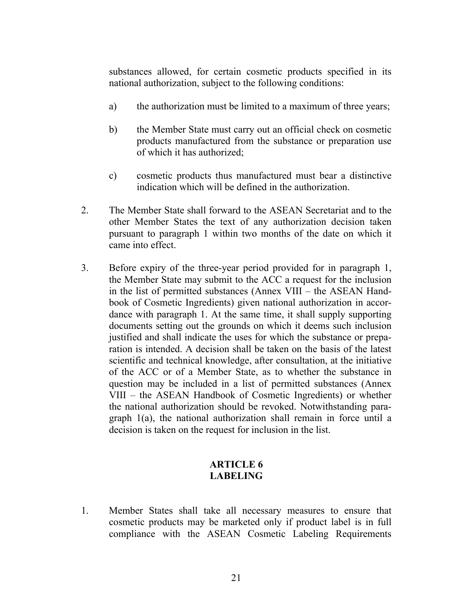substances allowed, for certain cosmetic products specified in its national authorization, subject to the following conditions:

- a) the authorization must be limited to a maximum of three years;
- b) the Member State must carry out an official check on cosmetic products manufactured from the substance or preparation use of which it has authorized;
- c) cosmetic products thus manufactured must bear a distinctive indication which will be defined in the authorization.
- 2. The Member State shall forward to the ASEAN Secretariat and to the other Member States the text of any authorization decision taken pursuant to paragraph 1 within two months of the date on which it came into effect.
- 3. Before expiry of the three-year period provided for in paragraph 1, the Member State may submit to the ACC a request for the inclusion in the list of permitted substances (Annex VIII – the ASEAN Handbook of Cosmetic Ingredients) given national authorization in accordance with paragraph 1. At the same time, it shall supply supporting documents setting out the grounds on which it deems such inclusion justified and shall indicate the uses for which the substance or preparation is intended. A decision shall be taken on the basis of the latest scientific and technical knowledge, after consultation, at the initiative of the ACC or of a Member State, as to whether the substance in question may be included in a list of permitted substances (Annex VIII – the ASEAN Handbook of Cosmetic Ingredients) or whether the national authorization should be revoked. Notwithstanding paragraph 1(a), the national authorization shall remain in force until a decision is taken on the request for inclusion in the list.

### **ARTICLE 6 LABELING**

1. Member States shall take all necessary measures to ensure that cosmetic products may be marketed only if product label is in full compliance with the ASEAN Cosmetic Labeling Requirements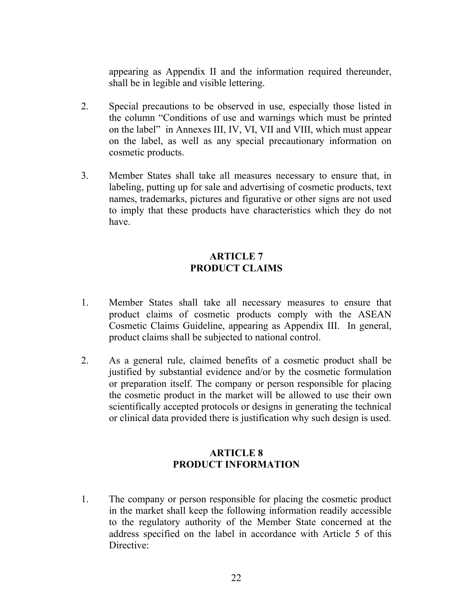appearing as Appendix II and the information required thereunder, shall be in legible and visible lettering.

- 2. Special precautions to be observed in use, especially those listed in the column "Conditions of use and warnings which must be printed on the label" in Annexes III, IV, VI, VII and VIII, which must appear on the label, as well as any special precautionary information on cosmetic products.
- 3. Member States shall take all measures necessary to ensure that, in labeling, putting up for sale and advertising of cosmetic products, text names, trademarks, pictures and figurative or other signs are not used to imply that these products have characteristics which they do not have.

## **ARTICLE 7 PRODUCT CLAIMS**

- 1. Member States shall take all necessary measures to ensure that product claims of cosmetic products comply with the ASEAN Cosmetic Claims Guideline, appearing as Appendix III. In general, product claims shall be subjected to national control.
- 2. As a general rule, claimed benefits of a cosmetic product shall be justified by substantial evidence and/or by the cosmetic formulation or preparation itself. The company or person responsible for placing the cosmetic product in the market will be allowed to use their own scientifically accepted protocols or designs in generating the technical or clinical data provided there is justification why such design is used.

## **ARTICLE 8 PRODUCT INFORMATION**

1. The company or person responsible for placing the cosmetic product in the market shall keep the following information readily accessible to the regulatory authority of the Member State concerned at the address specified on the label in accordance with Article 5 of this Directive: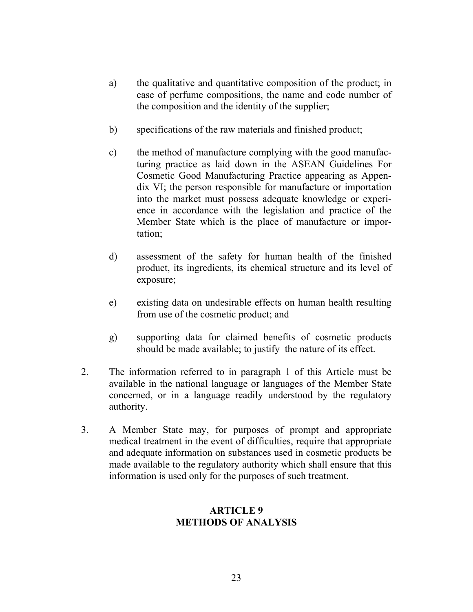- a) the qualitative and quantitative composition of the product; in case of perfume compositions, the name and code number of the composition and the identity of the supplier;
- b) specifications of the raw materials and finished product;
- c) the method of manufacture complying with the good manufacturing practice as laid down in the ASEAN Guidelines For Cosmetic Good Manufacturing Practice appearing as Appendix VI; the person responsible for manufacture or importation into the market must possess adequate knowledge or experience in accordance with the legislation and practice of the Member State which is the place of manufacture or importation;
- d) assessment of the safety for human health of the finished product, its ingredients, its chemical structure and its level of exposure;
- e) existing data on undesirable effects on human health resulting from use of the cosmetic product; and
- g) supporting data for claimed benefits of cosmetic products should be made available; to justify the nature of its effect.
- 2. The information referred to in paragraph 1 of this Article must be available in the national language or languages of the Member State concerned, or in a language readily understood by the regulatory authority.
- 3. A Member State may, for purposes of prompt and appropriate medical treatment in the event of difficulties, require that appropriate and adequate information on substances used in cosmetic products be made available to the regulatory authority which shall ensure that this information is used only for the purposes of such treatment.

### **ARTICLE 9 METHODS OF ANALYSIS**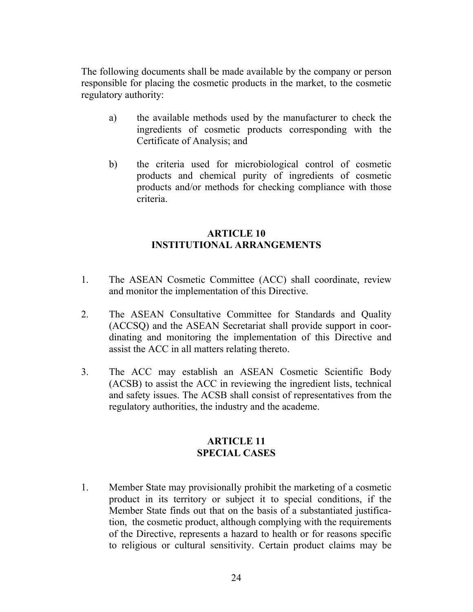The following documents shall be made available by the company or person responsible for placing the cosmetic products in the market, to the cosmetic regulatory authority:

- a) the available methods used by the manufacturer to check the ingredients of cosmetic products corresponding with the Certificate of Analysis; and
- b) the criteria used for microbiological control of cosmetic products and chemical purity of ingredients of cosmetic products and/or methods for checking compliance with those criteria.

### **ARTICLE 10 INSTITUTIONAL ARRANGEMENTS**

- 1. The ASEAN Cosmetic Committee (ACC) shall coordinate, review and monitor the implementation of this Directive.
- 2. The ASEAN Consultative Committee for Standards and Quality (ACCSQ) and the ASEAN Secretariat shall provide support in coordinating and monitoring the implementation of this Directive and assist the ACC in all matters relating thereto.
- 3. The ACC may establish an ASEAN Cosmetic Scientific Body (ACSB) to assist the ACC in reviewing the ingredient lists, technical and safety issues. The ACSB shall consist of representatives from the regulatory authorities, the industry and the academe.

### **ARTICLE 11 SPECIAL CASES**

1. Member State may provisionally prohibit the marketing of a cosmetic product in its territory or subject it to special conditions, if the Member State finds out that on the basis of a substantiated justification, the cosmetic product, although complying with the requirements of the Directive, represents a hazard to health or for reasons specific to religious or cultural sensitivity. Certain product claims may be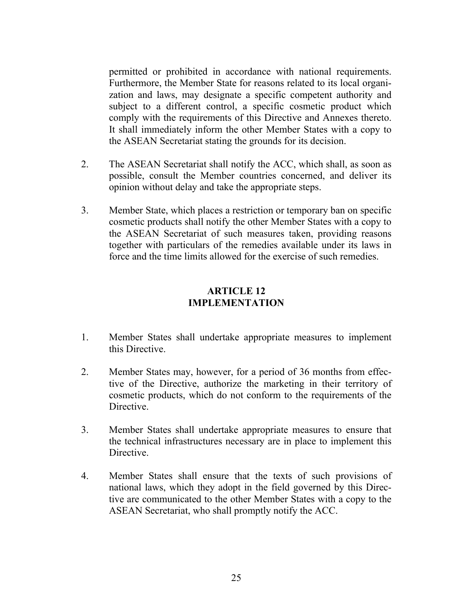permitted or prohibited in accordance with national requirements. Furthermore, the Member State for reasons related to its local organization and laws, may designate a specific competent authority and subject to a different control, a specific cosmetic product which comply with the requirements of this Directive and Annexes thereto. It shall immediately inform the other Member States with a copy to the ASEAN Secretariat stating the grounds for its decision.

- 2. The ASEAN Secretariat shall notify the ACC, which shall, as soon as possible, consult the Member countries concerned, and deliver its opinion without delay and take the appropriate steps.
- 3. Member State, which places a restriction or temporary ban on specific cosmetic products shall notify the other Member States with a copy to the ASEAN Secretariat of such measures taken, providing reasons together with particulars of the remedies available under its laws in force and the time limits allowed for the exercise of such remedies.

#### **ARTICLE 12 IMPLEMENTATION**

- 1. Member States shall undertake appropriate measures to implement this Directive.
- 2. Member States may, however, for a period of 36 months from effective of the Directive, authorize the marketing in their territory of cosmetic products, which do not conform to the requirements of the Directive.
- 3. Member States shall undertake appropriate measures to ensure that the technical infrastructures necessary are in place to implement this Directive.
- 4. Member States shall ensure that the texts of such provisions of national laws, which they adopt in the field governed by this Directive are communicated to the other Member States with a copy to the ASEAN Secretariat, who shall promptly notify the ACC.